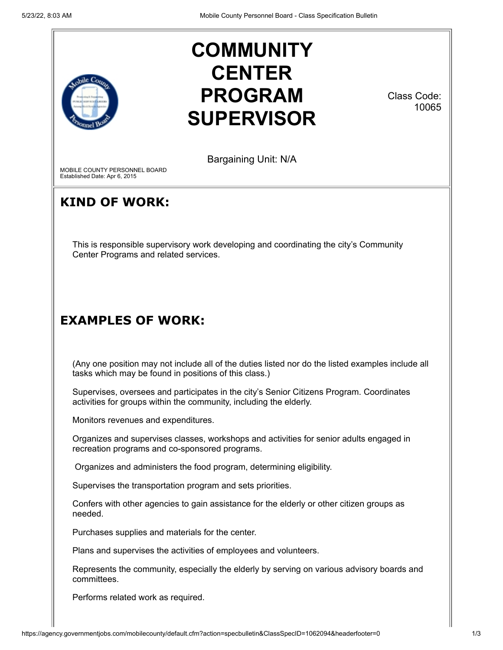

# **COMMUNITY CENTER PROGRAM SUPERVISOR**

Class Code: 10065

Bargaining Unit: N/A

MOBILE COUNTY PERSONNEL BOARD Established Date: Apr 6, 2015

## **KIND OF WORK:**

This is responsible supervisory work developing and coordinating the city's Community Center Programs and related services.

## **EXAMPLES OF WORK:**

(Any one position may not include all of the duties listed nor do the listed examples include all tasks which may be found in positions of this class.)

Supervises, oversees and participates in the city's Senior Citizens Program. Coordinates activities for groups within the community, including the elderly.

Monitors revenues and expenditures.

Organizes and supervises classes, workshops and activities for senior adults engaged in recreation programs and co-sponsored programs.

Organizes and administers the food program, determining eligibility.

Supervises the transportation program and sets priorities.

Confers with other agencies to gain assistance for the elderly or other citizen groups as needed.

Purchases supplies and materials for the center.

Plans and supervises the activities of employees and volunteers.

Represents the community, especially the elderly by serving on various advisory boards and committees.

Performs related work as required.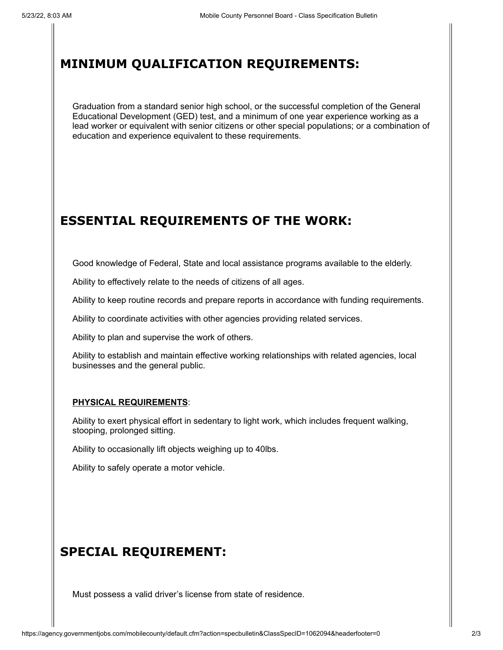#### **MINIMUM QUALIFICATION REQUIREMENTS:**

Graduation from a standard senior high school, or the successful completion of the General Educational Development (GED) test, and a minimum of one year experience working as a lead worker or equivalent with senior citizens or other special populations; or a combination of education and experience equivalent to these requirements.

#### **ESSENTIAL REQUIREMENTS OF THE WORK:**

Good knowledge of Federal, State and local assistance programs available to the elderly.

Ability to effectively relate to the needs of citizens of all ages.

Ability to keep routine records and prepare reports in accordance with funding requirements.

Ability to coordinate activities with other agencies providing related services.

Ability to plan and supervise the work of others.

Ability to establish and maintain effective working relationships with related agencies, local businesses and the general public.

#### **PHYSICAL REQUIREMENTS**:

Ability to exert physical effort in sedentary to light work, which includes frequent walking, stooping, prolonged sitting.

Ability to occasionally lift objects weighing up to 40lbs.

Ability to safely operate a motor vehicle.

#### **SPECIAL REQUIREMENT:**

Must possess a valid driver's license from state of residence.